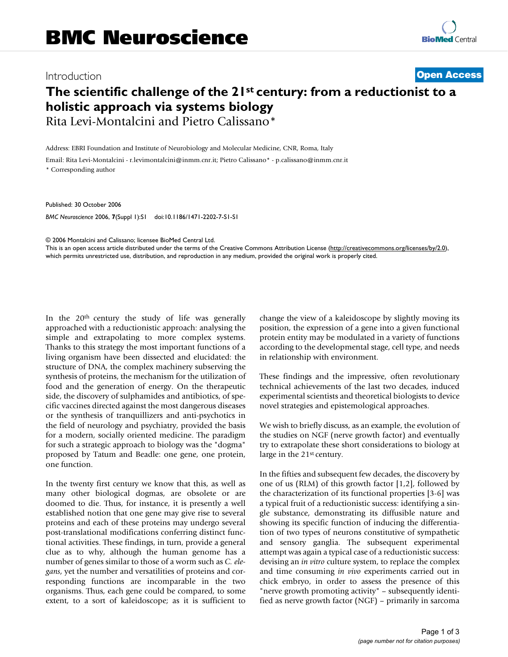Introduction **[Open Access](http://www.biomedcentral.com/info/about/charter/)**

## **The scientific challenge of the 21st century: from a reductionist to a holistic approach via systems biology** Rita Levi-Montalcini and Pietro Calissano\*

Address: EBRI Foundation and Institute of Neurobiology and Molecular Medicine, CNR, Roma, Italy

Email: Rita Levi-Montalcini - r.levimontalcini@inmm.cnr.it; Pietro Calissano\* - p.calissano@inmm.cnr.it \* Corresponding author

Published: 30 October 2006

*BMC Neuroscience* 2006, **7**(Suppl 1):S1 doi:10.1186/1471-2202-7-S1-S1

© 2006 Montalcini and Calissano; licensee BioMed Central Ltd.

This is an open access article distributed under the terms of the Creative Commons Attribution License [\(http://creativecommons.org/licenses/by/2.0\)](http://creativecommons.org/licenses/by/2.0), which permits unrestricted use, distribution, and reproduction in any medium, provided the original work is properly cited.

In the 20<sup>th</sup> century the study of life was generally approached with a reductionistic approach: analysing the simple and extrapolating to more complex systems. Thanks to this strategy the most important functions of a living organism have been dissected and elucidated: the structure of DNA, the complex machinery subserving the synthesis of proteins, the mechanism for the utilization of food and the generation of energy. On the therapeutic side, the discovery of sulphamides and antibiotics, of specific vaccines directed against the most dangerous diseases or the synthesis of tranquillizers and anti-psychotics in the field of neurology and psychiatry, provided the basis for a modern, socially oriented medicine. The paradigm for such a strategic approach to biology was the "dogma" proposed by Tatum and Beadle: one gene, one protein, one function.

In the twenty first century we know that this, as well as many other biological dogmas, are obsolete or are doomed to die. Thus, for instance, it is presently a well established notion that one gene may give rise to several proteins and each of these proteins may undergo several post-translational modifications conferring distinct functional activities. These findings, in turn, provide a general clue as to why, although the human genome has a number of genes similar to those of a worm such as *C. elegans*, yet the number and versatilities of proteins and corresponding functions are incomparable in the two organisms. Thus, each gene could be compared, to some extent, to a sort of kaleidoscope; as it is sufficient to change the view of a kaleidoscope by slightly moving its position, the expression of a gene into a given functional protein entity may be modulated in a variety of functions according to the developmental stage, cell type, and needs in relationship with environment.

These findings and the impressive, often revolutionary technical achievements of the last two decades, induced experimental scientists and theoretical biologists to device novel strategies and epistemological approaches.

We wish to briefly discuss, as an example, the evolution of the studies on NGF (nerve growth factor) and eventually try to extrapolate these short considerations to biology at large in the 21<sup>st</sup> century.

In the fifties and subsequent few decades, the discovery by one of us (RLM) of this growth factor [1,2], followed by the characterization of its functional properties [3-6] was a typical fruit of a reductionistic success: identifying a single substance, demonstrating its diffusible nature and showing its specific function of inducing the differentiation of two types of neurons constitutive of sympathetic and sensory ganglia. The subsequent experimental attempt was again a typical case of a reductionistic success: devising an *in vitro* culture system, to replace the complex and time consuming *in vivo* experiments carried out in chick embryo, in order to assess the presence of this "nerve growth promoting activity" – subsequently identified as nerve growth factor (NGF) – primarily in sarcoma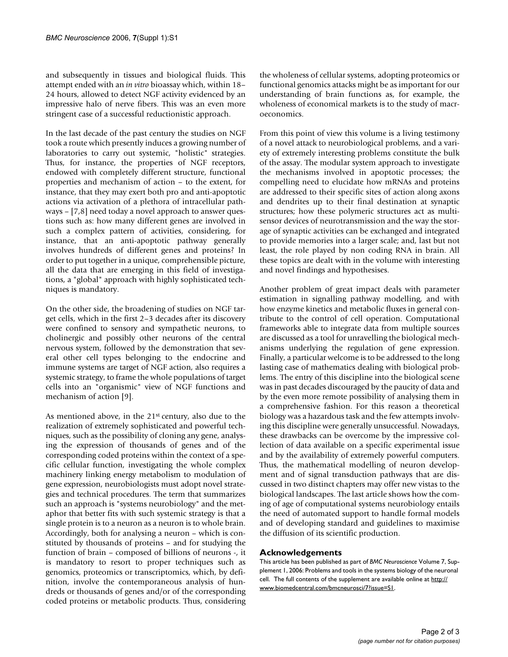and subsequently in tissues and biological fluids. This attempt ended with an *in vitro* bioassay which, within 18– 24 hours, allowed to detect NGF activity evidenced by an impressive halo of nerve fibers. This was an even more stringent case of a successful reductionistic approach.

In the last decade of the past century the studies on NGF took a route which presently induces a growing number of laboratories to carry out systemic, "holistic" strategies. Thus, for instance, the properties of NGF receptors, endowed with completely different structure, functional properties and mechanism of action – to the extent, for instance, that they may exert both pro and anti-apoptotic actions via activation of a plethora of intracellular pathways – [7,8] need today a novel approach to answer questions such as: how many different genes are involved in such a complex pattern of activities, considering, for instance, that an anti-apoptotic pathway generally involves hundreds of different genes and proteins? In order to put together in a unique, comprehensible picture, all the data that are emerging in this field of investigations, a "global" approach with highly sophisticated techniques is mandatory.

On the other side, the broadening of studies on NGF target cells, which in the first 2–3 decades after its discovery were confined to sensory and sympathetic neurons, to cholinergic and possibly other neurons of the central nervous system, followed by the demonstration that several other cell types belonging to the endocrine and immune systems are target of NGF action, also requires a systemic strategy, to frame the whole populations of target cells into an "organismic" view of NGF functions and mechanism of action [9].

As mentioned above, in the 21st century, also due to the realization of extremely sophisticated and powerful techniques, such as the possibility of cloning any gene, analysing the expression of thousands of genes and of the corresponding coded proteins within the context of a specific cellular function, investigating the whole complex machinery linking energy metabolism to modulation of gene expression, neurobiologists must adopt novel strategies and technical procedures. The term that summarizes such an approach is "systems neurobiology" and the metaphor that better fits with such systemic strategy is that a single protein is to a neuron as a neuron is to whole brain. Accordingly, both for analysing a neuron – which is constituted by thousands of proteins – and for studying the function of brain – composed of billions of neurons -, it is mandatory to resort to proper techniques such as genomics, proteomics or transcriptomics, which, by definition, involve the contemporaneous analysis of hundreds or thousands of genes and/or of the corresponding coded proteins or metabolic products. Thus, considering the wholeness of cellular systems, adopting proteomics or functional genomics attacks might be as important for our understanding of brain functions as, for example, the wholeness of economical markets is to the study of macroeconomics.

From this point of view this volume is a living testimony of a novel attack to neurobiological problems, and a variety of extremely interesting problems constitute the bulk of the assay. The modular system approach to investigate the mechanisms involved in apoptotic processes; the compelling need to elucidate how mRNAs and proteins are addressed to their specific sites of action along axons and dendrites up to their final destination at synaptic structures; how these polymeric structures act as multisensor devices of neurotransmission and the way the storage of synaptic activities can be exchanged and integrated to provide memories into a larger scale; and, last but not least, the role played by non coding RNA in brain. All these topics are dealt with in the volume with interesting and novel findings and hypothesises.

Another problem of great impact deals with parameter estimation in signalling pathway modelling, and with how enzyme kinetics and metabolic fluxes in general contribute to the control of cell operation. Computational frameworks able to integrate data from multiple sources are discussed as a tool for unravelling the biological mechanisms underlying the regulation of gene expression. Finally, a particular welcome is to be addressed to the long lasting case of mathematics dealing with biological problems. The entry of this discipline into the biological scene was in past decades discouraged by the paucity of data and by the even more remote possibility of analysing them in a comprehensive fashion. For this reason a theoretical biology was a hazardous task and the few attempts involving this discipline were generally unsuccessful. Nowadays, these drawbacks can be overcome by the impressive collection of data available on a specific experimental issue and by the availability of extremely powerful computers. Thus, the mathematical modelling of neuron development and of signal transduction pathways that are discussed in two distinct chapters may offer new vistas to the biological landscapes. The last article shows how the coming of age of computational systems neurobiology entails the need of automated support to handle formal models and of developing standard and guidelines to maximise the diffusion of its scientific production.

## **Acknowledgements**

This article has been published as part of *BMC Neuroscience* Volume 7, Supplement 1, 2006: Problems and tools in the systems biology of the neuronal cell. The full contents of the supplement are available online at [http://](http://www.biomedcentral.com/bmcneurosci/7?issue=S1) [www.biomedcentral.com/bmcneurosci/7?issue=S1](http://www.biomedcentral.com/bmcneurosci/7?issue=S1).